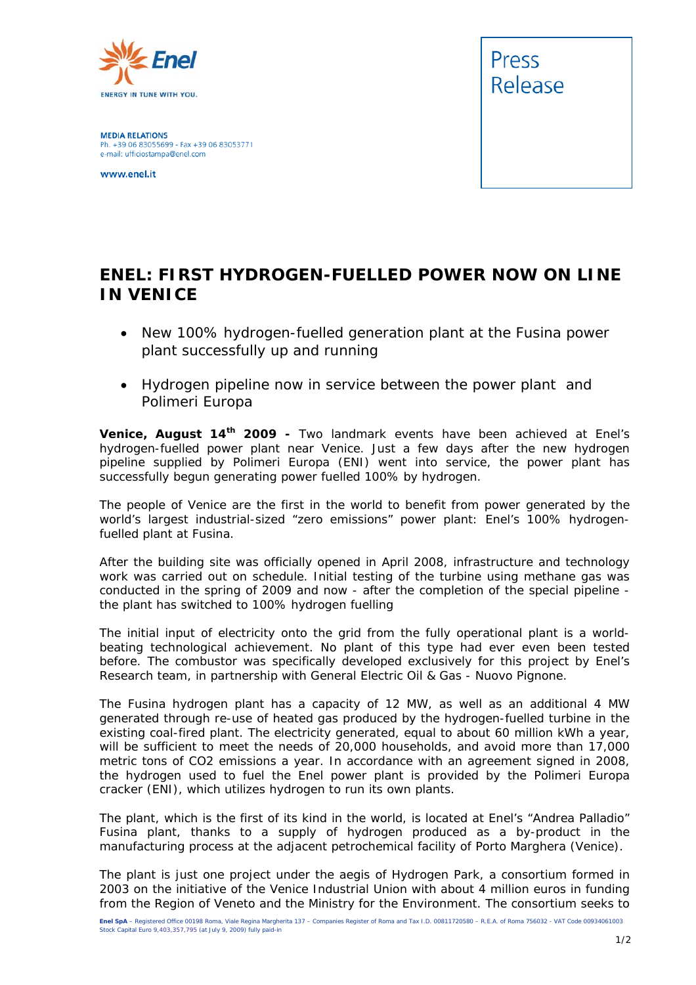

**MEDIA RELATIONS** Ph. +39 06 83055699 - Fax +39 06 83053771 e-mail: ufficiostampa@enel.com

www.enel.it



## **ENEL: FIRST HYDROGEN-FUELLED POWER NOW ON LINE IN VENICE**

- *New 100% hydrogen-fuelled generation plant at the Fusina power plant successfully up and running*
- *Hydrogen pipeline now in service between the power plant and Polimeri Europa*

**Venice, August 14th 2009 -** Two landmark events have been achieved at Enel's hydrogen-fuelled power plant near Venice. Just a few days after the new hydrogen pipeline supplied by Polimeri Europa (ENI) went into service, the power plant has successfully begun generating power fuelled 100% by hydrogen.

The people of Venice are the first in the world to benefit from power generated by the world's largest industrial-sized "zero emissions" power plant: Enel's 100% hydrogenfuelled plant at Fusina.

After the building site was officially opened in April 2008, infrastructure and technology work was carried out on schedule. Initial testing of the turbine using methane gas was conducted in the spring of 2009 and now - after the completion of the special pipeline the plant has switched to 100% hydrogen fuelling

The initial input of electricity onto the grid from the fully operational plant is a worldbeating technological achievement. No plant of this type had ever even been tested before. The combustor was specifically developed exclusively for this project by Enel's Research team, in partnership with General Electric Oil & Gas - Nuovo Pignone.

The Fusina hydrogen plant has a capacity of 12 MW, as well as an additional 4 MW generated through re-use of heated gas produced by the hydrogen-fuelled turbine in the existing coal-fired plant. The electricity generated, equal to about 60 million kWh a year, will be sufficient to meet the needs of 20,000 households, and avoid more than 17,000 metric tons of CO2 emissions a year. In accordance with an agreement signed in 2008, the hydrogen used to fuel the Enel power plant is provided by the Polimeri Europa cracker (ENI), which utilizes hydrogen to run its own plants.

The plant, which is the first of its kind in the world, is located at Enel's "Andrea Palladio" Fusina plant, thanks to a supply of hydrogen produced as a by-product in the manufacturing process at the adjacent petrochemical facility of Porto Marghera (Venice).

The plant is just one project under the aegis of Hydrogen Park, a consortium formed in 2003 on the initiative of the Venice Industrial Union with about 4 million euros in funding from the Region of Veneto and the Ministry for the Environment. The consortium seeks to